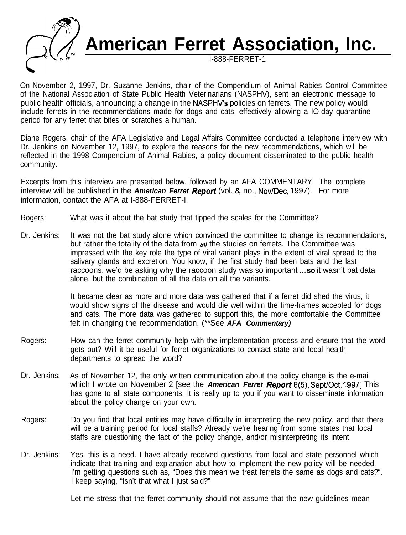

## **American Ferret Association, Inc.**

I-888-FERRET-1

On November 2, 1997, Dr. Suzanne Jenkins, chair of the Compendium of Animal Rabies Control Committee of the National Association of State Public Health Veterinarians (NASPHV), sent an electronic message to public health officials, announcing a change in the NASPHV's policies on ferrets. The new policy would include ferrets in the recommendations made for dogs and cats, effectively allowing a IO-day quarantine period for any ferret that bites or scratches a human.

Diane Rogers, chair of the AFA Legislative and Legal Affairs Committee conducted a telephone interview with Dr. Jenkins on November 12, 1997, to explore the reasons for the new recommendations, which will be reflected in the 1998 Compendium of Animal Rabies, a policy document disseminated to the public health community.

Excerpts from this interview are presented below, followed by an AFA COMMENTARY. The complete interview will be published in the *American Ferret Report* (vol. *8,* no., Nov/Dec, 1997). For more information, contact the AFA at I-888-FERRET-I.

- Rogers: What was it about the bat study that tipped the scales for the Committee?
- Dr. Jenkins: It was not the bat study alone which convinced the committee to change its recommendations, but rather the totality of the data from all the studies on ferrets. The Committee was impressed with the key role the type of viral variant plays in the extent of viral spread to the salivary glands and excretion. You know, if the first study had been bats and the last raccoons, we'd be asking why the raccoon study was so important ...so it wasn't bat data alone, but the combination of all the data on all the variants.

It became clear as more and more data was gathered that if a ferret did shed the virus, it would show signs of the disease and would die well within the time-frames accepted for dogs and cats. The more data was gathered to support this, the more comfortable the Committee felt in changing the recommendation. (\*\*See *AFA Commentary)*

- Rogers: How can the ferret community help with the implementation process and ensure that the word gets out? Will it be useful for ferret organizations to contact state and local health departments to spread the word?
- Dr. Jenkins: As of November 12, the only written communication about the policy change is the e-mail which I wrote on November 2 [see the *American Ferret Reporf, 8(5),* Sept/Oct. 19971 This has gone to all state components. It is really up to you if you want to disseminate information about the policy change on your own.
- Rogers: Do you find that local entities may have difficulty in interpreting the new policy, and that there will be a training period for local staffs? Already we're hearing from some states that local staffs are questioning the fact of the policy change, and/or misinterpreting its intent.
- Dr. Jenkins: Yes, this is a need. I have already received questions from local and state personnel which indicate that training and explanation abut how to implement the new policy will be needed. I'm getting questions such as, "Does this mean we treat ferrets the same as dogs and cats?". I keep saying, "Isn't that what I just said?"

Let me stress that the ferret community should not assume that the new guidelines mean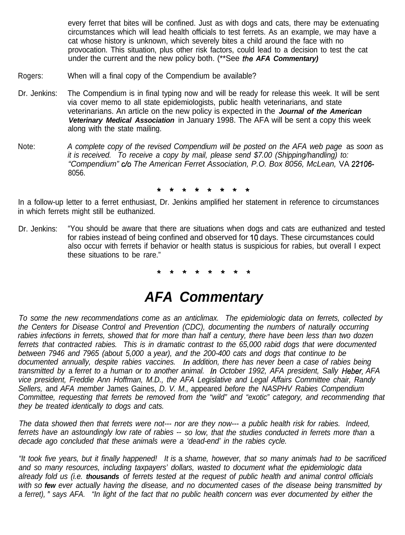every ferret that bites will be confined. Just as with dogs and cats, there may be extenuating circumstances which will lead health officials to test ferrets. As an example, we may have a cat whose history is unknown, which severely bites a child around the face with no provocation. This situation, plus other risk factors, could lead to a decision to test the cat under the current and the new policy both. (\*\*See the *AFA Commentary)*

- Rogers: When will a final copy of the Compendium be available?
- Dr. Jenkins: The Compendium is in final typing now and will be ready for release this week. It will be sent via cover memo to all state epidemiologists, public health veterinarians, and state veterinarians. An article on the new policy is expected in the *Journal of the American Veterinary Medical Association* in January 1998. The AFA will be sent a copy this week along with the state mailing.
- Note: *A complete copy of the revised Compendium will be posted on the AFA web page* as *soon* as *it is received. To receive a copy by mail, please send \$7.00 (Shipping/handling) to: "Compendium" c/o The American Ferret Association, P.O. Box 8056, McLean,* VA 22706- 8056.

## \* \* \* \* \* \* \* \*

In a follow-up letter to a ferret enthusiast, Dr. Jenkins amplified her statement in reference to circumstances in which ferrets might still be euthanized.

Dr. Jenkins: "You should be aware that there are situations when dogs and cats are euthanized and tested for rabies instead of being confined and observed for IO days. These circumstances could also occur with ferrets if behavior or health status is suspicious for rabies, but overall I expect these situations to be rare."

\* \* \* \* \* \* \* \*

## *AFA Commentary*

*To some the new recommendations come as an anticlimax. The epidemiologic data on ferrets, collected by the Centers for Disease Control and Prevention (CDC), documenting the numbers of naturally occurring rabies infections in ferrets, showed that for more than half a century, there have been less than two dozen ferrets that contracted rabies. This is in dramatic contrast to the 65,000 rabid dogs that were documented between 7946 and 7965 (about 5,000* a *year), and the 200-400 cats and dogs that continue to be documented annually, despite rabies vaccines. In addition, there has never been a case of rabies being transmitted by* a *ferret to a human or to another animal. In October 1992, AFA president, Sally Heber, AFA vice president, Freddie Ann Hoffman, M.D., the AFA Legislative and Legal Affairs Committee chair, Randy Sellers,* and *AFA member* James Gaines, *D. V. M.,* appeared *before the NASPHV Rabies Compendium Committee, requesting that ferrets be removed from the "wild" and "exotic" category, and recommending that they be treated identically to dogs and cats.*

*The data showed then that ferrets were not--- nor are they now--- a public health risk for rabies. Indeed, ferrets have an astoundingly low rate of rabies -- so low, that the studies conducted in ferrets more than* a *decade ago concluded that these animals were a 'dead-end' in the rabies cycle.*

*"It took five years, but it finally happened! It is* a *shame, however, that so many animals had to be sacrificed and so many resources, including taxpayers' dollars, wasted to document what the epidemiologic data already fold us (i.e. thousands of ferrets tested at the request of public health and animal control officials with so few ever actually having the disease, and no documented cases of the disease being transmitted by a ferret), " says AFA. "In light of the fact that no public health concern was ever documented by either the*